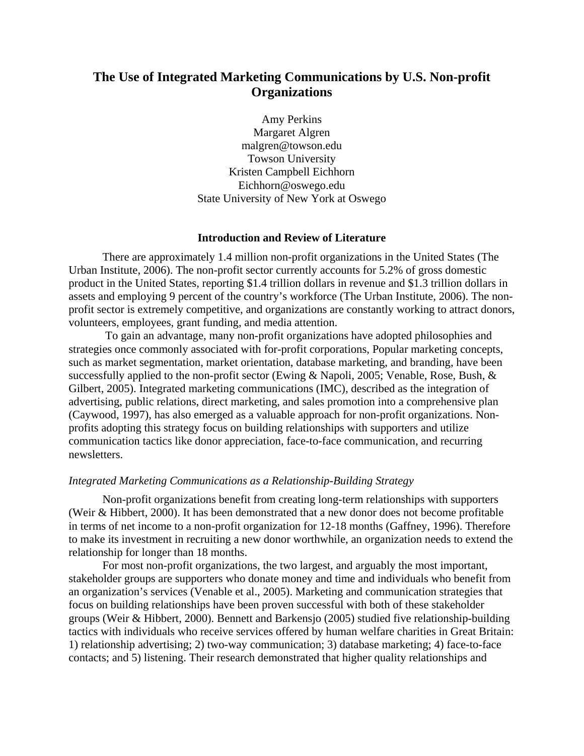# **The Use of Integrated Marketing Communications by U.S. Non-profit Organizations**

Amy Perkins Margaret Algren malgren@towson.edu Towson University Kristen Campbell Eichhorn Eichhorn@oswego.edu State University of New York at Oswego

## **Introduction and Review of Literature**

There are approximately 1.4 million non-profit organizations in the United States (The Urban Institute, 2006). The non-profit sector currently accounts for 5.2% of gross domestic product in the United States, reporting \$1.4 trillion dollars in revenue and \$1.3 trillion dollars in assets and employing 9 percent of the country's workforce (The Urban Institute, 2006). The nonprofit sector is extremely competitive, and organizations are constantly working to attract donors, volunteers, employees, grant funding, and media attention.

 To gain an advantage, many non-profit organizations have adopted philosophies and strategies once commonly associated with for-profit corporations, Popular marketing concepts, such as market segmentation, market orientation, database marketing, and branding, have been successfully applied to the non-profit sector (Ewing & Napoli, 2005; Venable, Rose, Bush, & Gilbert, 2005). Integrated marketing communications (IMC), described as the integration of advertising, public relations, direct marketing, and sales promotion into a comprehensive plan (Caywood, 1997), has also emerged as a valuable approach for non-profit organizations. Nonprofits adopting this strategy focus on building relationships with supporters and utilize communication tactics like donor appreciation, face-to-face communication, and recurring newsletters.

# *Integrated Marketing Communications as a Relationship-Building Strategy*

Non-profit organizations benefit from creating long-term relationships with supporters (Weir & Hibbert, 2000). It has been demonstrated that a new donor does not become profitable in terms of net income to a non-profit organization for 12-18 months (Gaffney, 1996). Therefore to make its investment in recruiting a new donor worthwhile, an organization needs to extend the relationship for longer than 18 months.

For most non-profit organizations, the two largest, and arguably the most important, stakeholder groups are supporters who donate money and time and individuals who benefit from an organization's services (Venable et al., 2005). Marketing and communication strategies that focus on building relationships have been proven successful with both of these stakeholder groups (Weir & Hibbert, 2000). Bennett and Barkensjo (2005) studied five relationship-building tactics with individuals who receive services offered by human welfare charities in Great Britain: 1) relationship advertising; 2) two-way communication; 3) database marketing; 4) face-to-face contacts; and 5) listening. Their research demonstrated that higher quality relationships and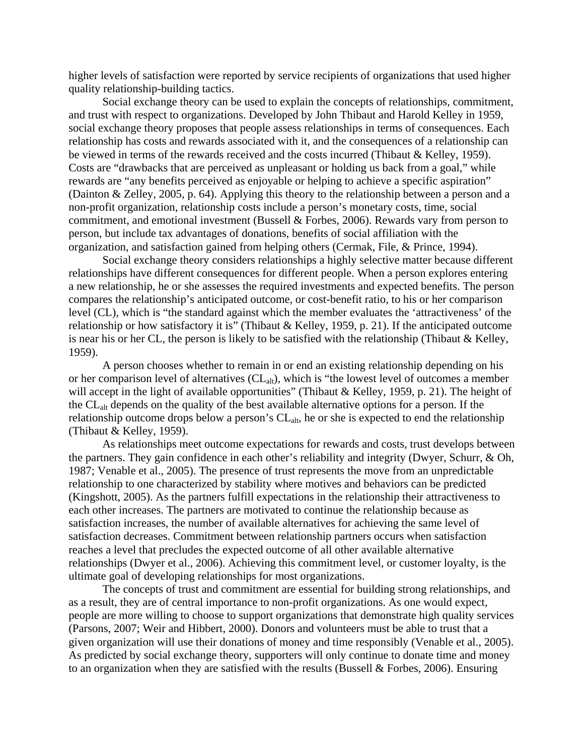higher levels of satisfaction were reported by service recipients of organizations that used higher quality relationship-building tactics.

Social exchange theory can be used to explain the concepts of relationships, commitment, and trust with respect to organizations. Developed by John Thibaut and Harold Kelley in 1959, social exchange theory proposes that people assess relationships in terms of consequences. Each relationship has costs and rewards associated with it, and the consequences of a relationship can be viewed in terms of the rewards received and the costs incurred (Thibaut & Kelley, 1959). Costs are "drawbacks that are perceived as unpleasant or holding us back from a goal," while rewards are "any benefits perceived as enjoyable or helping to achieve a specific aspiration" (Dainton & Zelley, 2005, p. 64). Applying this theory to the relationship between a person and a non-profit organization, relationship costs include a person's monetary costs, time, social commitment, and emotional investment (Bussell & Forbes, 2006). Rewards vary from person to person, but include tax advantages of donations, benefits of social affiliation with the organization, and satisfaction gained from helping others (Cermak, File, & Prince, 1994).

Social exchange theory considers relationships a highly selective matter because different relationships have different consequences for different people. When a person explores entering a new relationship, he or she assesses the required investments and expected benefits. The person compares the relationship's anticipated outcome, or cost-benefit ratio, to his or her comparison level (CL), which is "the standard against which the member evaluates the 'attractiveness' of the relationship or how satisfactory it is" (Thibaut & Kelley, 1959, p. 21). If the anticipated outcome is near his or her CL, the person is likely to be satisfied with the relationship (Thibaut & Kelley, 1959).

A person chooses whether to remain in or end an existing relationship depending on his or her comparison level of alternatives (CL<sub>alt</sub>), which is "the lowest level of outcomes a member will accept in the light of available opportunities" (Thibaut & Kelley, 1959, p. 21). The height of the CLalt depends on the quality of the best available alternative options for a person. If the relationship outcome drops below a person's  $CL_{alt}$ , he or she is expected to end the relationship (Thibaut & Kelley, 1959).

As relationships meet outcome expectations for rewards and costs, trust develops between the partners. They gain confidence in each other's reliability and integrity (Dwyer, Schurr, & Oh, 1987; Venable et al., 2005). The presence of trust represents the move from an unpredictable relationship to one characterized by stability where motives and behaviors can be predicted (Kingshott, 2005). As the partners fulfill expectations in the relationship their attractiveness to each other increases. The partners are motivated to continue the relationship because as satisfaction increases, the number of available alternatives for achieving the same level of satisfaction decreases. Commitment between relationship partners occurs when satisfaction reaches a level that precludes the expected outcome of all other available alternative relationships (Dwyer et al., 2006). Achieving this commitment level, or customer loyalty, is the ultimate goal of developing relationships for most organizations.

The concepts of trust and commitment are essential for building strong relationships, and as a result, they are of central importance to non-profit organizations. As one would expect, people are more willing to choose to support organizations that demonstrate high quality services (Parsons, 2007; Weir and Hibbert, 2000). Donors and volunteers must be able to trust that a given organization will use their donations of money and time responsibly (Venable et al., 2005). As predicted by social exchange theory, supporters will only continue to donate time and money to an organization when they are satisfied with the results (Bussell  $&$  Forbes, 2006). Ensuring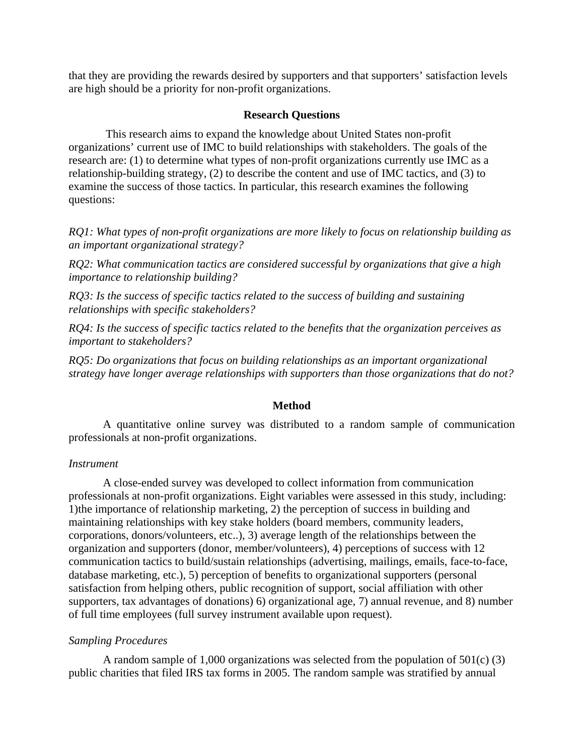that they are providing the rewards desired by supporters and that supporters' satisfaction levels are high should be a priority for non-profit organizations.

# **Research Questions**

 This research aims to expand the knowledge about United States non-profit organizations' current use of IMC to build relationships with stakeholders. The goals of the research are: (1) to determine what types of non-profit organizations currently use IMC as a relationship-building strategy, (2) to describe the content and use of IMC tactics, and (3) to examine the success of those tactics. In particular, this research examines the following questions:

*RQ1: What types of non-profit organizations are more likely to focus on relationship building as an important organizational strategy?* 

*RQ2: What communication tactics are considered successful by organizations that give a high importance to relationship building?* 

*RQ3: Is the success of specific tactics related to the success of building and sustaining relationships with specific stakeholders?* 

*RQ4: Is the success of specific tactics related to the benefits that the organization perceives as important to stakeholders?* 

*RQ5: Do organizations that focus on building relationships as an important organizational strategy have longer average relationships with supporters than those organizations that do not?* 

# **Method**

A quantitative online survey was distributed to a random sample of communication professionals at non-profit organizations.

## *Instrument*

A close-ended survey was developed to collect information from communication professionals at non-profit organizations. Eight variables were assessed in this study, including: 1)the importance of relationship marketing, 2) the perception of success in building and maintaining relationships with key stake holders (board members, community leaders, corporations, donors/volunteers, etc..), 3) average length of the relationships between the organization and supporters (donor, member/volunteers), 4) perceptions of success with 12 communication tactics to build/sustain relationships (advertising, mailings, emails, face-to-face, database marketing, etc.), 5) perception of benefits to organizational supporters (personal satisfaction from helping others, public recognition of support, social affiliation with other supporters, tax advantages of donations) 6) organizational age, 7) annual revenue, and 8) number of full time employees (full survey instrument available upon request).

# *Sampling Procedures*

A random sample of 1,000 organizations was selected from the population of 501(c) (3) public charities that filed IRS tax forms in 2005. The random sample was stratified by annual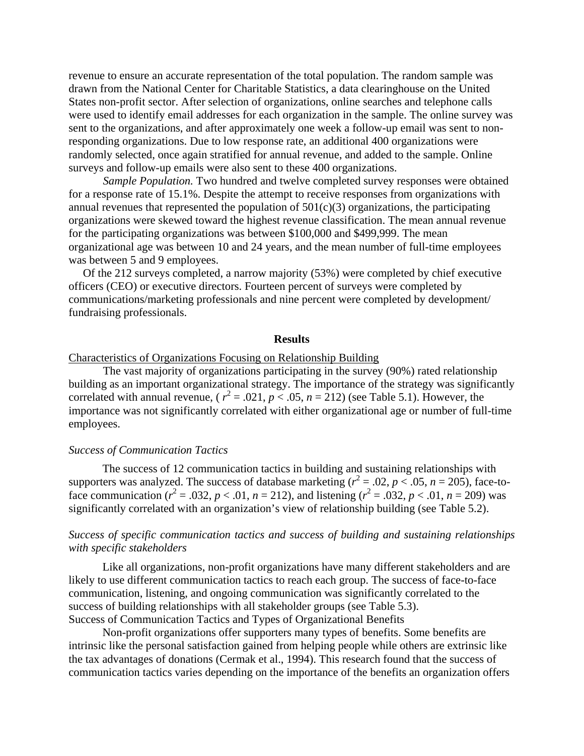revenue to ensure an accurate representation of the total population. The random sample was drawn from the National Center for Charitable Statistics, a data clearinghouse on the United States non-profit sector. After selection of organizations, online searches and telephone calls were used to identify email addresses for each organization in the sample. The online survey was sent to the organizations, and after approximately one week a follow-up email was sent to nonresponding organizations. Due to low response rate, an additional 400 organizations were randomly selected, once again stratified for annual revenue, and added to the sample. Online surveys and follow-up emails were also sent to these 400 organizations.

*Sample Population.* Two hundred and twelve completed survey responses were obtained for a response rate of 15.1%. Despite the attempt to receive responses from organizations with annual revenues that represented the population of  $501(c)(3)$  organizations, the participating organizations were skewed toward the highest revenue classification. The mean annual revenue for the participating organizations was between \$100,000 and \$499,999. The mean organizational age was between 10 and 24 years, and the mean number of full-time employees was between 5 and 9 employees.

 Of the 212 surveys completed, a narrow majority (53%) were completed by chief executive officers (CEO) or executive directors. Fourteen percent of surveys were completed by communications/marketing professionals and nine percent were completed by development/ fundraising professionals.

#### **Results**

#### Characteristics of Organizations Focusing on Relationship Building

The vast majority of organizations participating in the survey (90%) rated relationship building as an important organizational strategy. The importance of the strategy was significantly correlated with annual revenue, ( $r^2 = .021$ ,  $p < .05$ ,  $n = 212$ ) (see Table 5.1). However, the importance was not significantly correlated with either organizational age or number of full-time employees.

#### *Success of Communication Tactics*

The success of 12 communication tactics in building and sustaining relationships with supporters was analyzed. The success of database marketing  $(r^2 = .02, p < .05, n = 205)$ , face-toface communication ( $r^2 = .032$ ,  $p < .01$ ,  $n = 212$ ), and listening ( $r^2 = .032$ ,  $p < .01$ ,  $n = 209$ ) was significantly correlated with an organization's view of relationship building (see Table 5.2).

# *Success of specific communication tactics and success of building and sustaining relationships with specific stakeholders*

Like all organizations, non-profit organizations have many different stakeholders and are likely to use different communication tactics to reach each group. The success of face-to-face communication, listening, and ongoing communication was significantly correlated to the success of building relationships with all stakeholder groups (see Table 5.3). Success of Communication Tactics and Types of Organizational Benefits

Non-profit organizations offer supporters many types of benefits. Some benefits are intrinsic like the personal satisfaction gained from helping people while others are extrinsic like the tax advantages of donations (Cermak et al., 1994). This research found that the success of communication tactics varies depending on the importance of the benefits an organization offers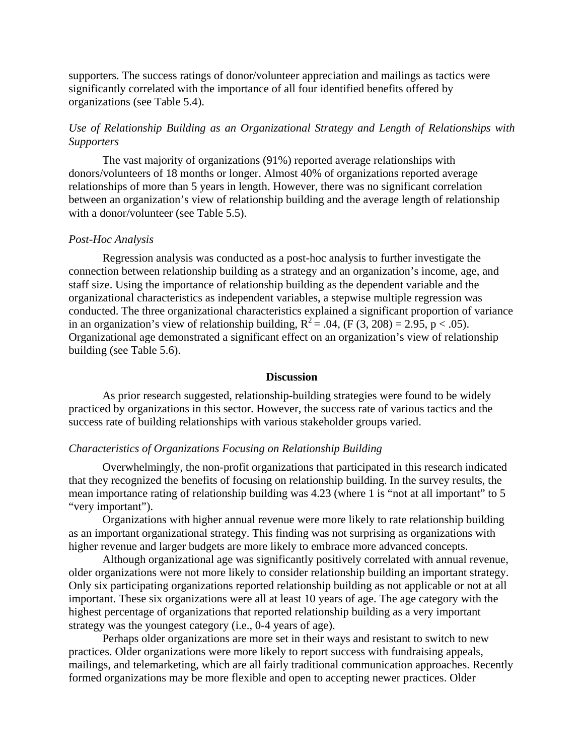supporters. The success ratings of donor/volunteer appreciation and mailings as tactics were significantly correlated with the importance of all four identified benefits offered by organizations (see Table 5.4).

# *Use of Relationship Building as an Organizational Strategy and Length of Relationships with Supporters*

The vast majority of organizations (91%) reported average relationships with donors/volunteers of 18 months or longer. Almost 40% of organizations reported average relationships of more than 5 years in length. However, there was no significant correlation between an organization's view of relationship building and the average length of relationship with a donor/volunteer (see Table 5.5).

#### *Post-Hoc Analysis*

Regression analysis was conducted as a post-hoc analysis to further investigate the connection between relationship building as a strategy and an organization's income, age, and staff size. Using the importance of relationship building as the dependent variable and the organizational characteristics as independent variables, a stepwise multiple regression was conducted. The three organizational characteristics explained a significant proportion of variance in an organization's view of relationship building,  $R^2 = .04$ , (F (3, 208) = 2.95, p < .05). Organizational age demonstrated a significant effect on an organization's view of relationship building (see Table 5.6).

#### **Discussion**

As prior research suggested, relationship-building strategies were found to be widely practiced by organizations in this sector. However, the success rate of various tactics and the success rate of building relationships with various stakeholder groups varied.

#### *Characteristics of Organizations Focusing on Relationship Building*

Overwhelmingly, the non-profit organizations that participated in this research indicated that they recognized the benefits of focusing on relationship building. In the survey results, the mean importance rating of relationship building was 4.23 (where 1 is "not at all important" to 5 "very important").

Organizations with higher annual revenue were more likely to rate relationship building as an important organizational strategy. This finding was not surprising as organizations with higher revenue and larger budgets are more likely to embrace more advanced concepts.

Although organizational age was significantly positively correlated with annual revenue, older organizations were not more likely to consider relationship building an important strategy. Only six participating organizations reported relationship building as not applicable or not at all important. These six organizations were all at least 10 years of age. The age category with the highest percentage of organizations that reported relationship building as a very important strategy was the youngest category (i.e., 0-4 years of age).

Perhaps older organizations are more set in their ways and resistant to switch to new practices. Older organizations were more likely to report success with fundraising appeals, mailings, and telemarketing, which are all fairly traditional communication approaches. Recently formed organizations may be more flexible and open to accepting newer practices. Older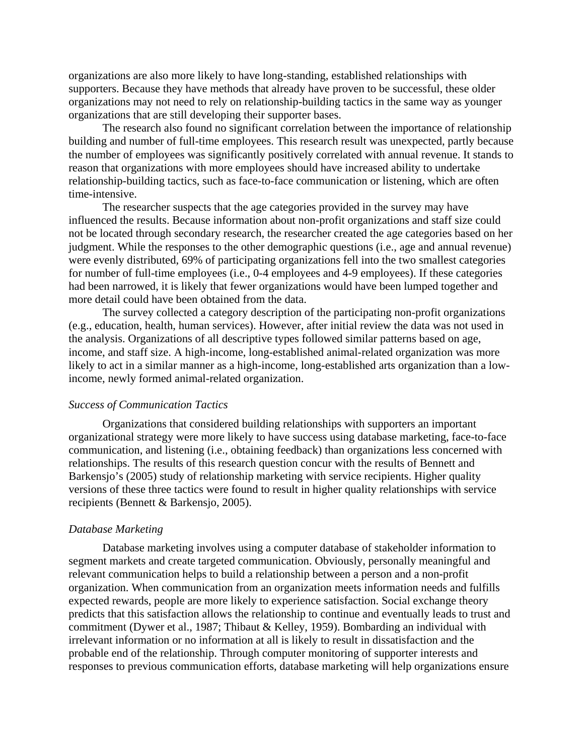organizations are also more likely to have long-standing, established relationships with supporters. Because they have methods that already have proven to be successful, these older organizations may not need to rely on relationship-building tactics in the same way as younger organizations that are still developing their supporter bases.

The research also found no significant correlation between the importance of relationship building and number of full-time employees. This research result was unexpected, partly because the number of employees was significantly positively correlated with annual revenue. It stands to reason that organizations with more employees should have increased ability to undertake relationship-building tactics, such as face-to-face communication or listening, which are often time-intensive.

The researcher suspects that the age categories provided in the survey may have influenced the results. Because information about non-profit organizations and staff size could not be located through secondary research, the researcher created the age categories based on her judgment. While the responses to the other demographic questions (i.e., age and annual revenue) were evenly distributed, 69% of participating organizations fell into the two smallest categories for number of full-time employees (i.e., 0-4 employees and 4-9 employees). If these categories had been narrowed, it is likely that fewer organizations would have been lumped together and more detail could have been obtained from the data.

The survey collected a category description of the participating non-profit organizations (e.g., education, health, human services). However, after initial review the data was not used in the analysis. Organizations of all descriptive types followed similar patterns based on age, income, and staff size. A high-income, long-established animal-related organization was more likely to act in a similar manner as a high-income, long-established arts organization than a lowincome, newly formed animal-related organization.

#### *Success of Communication Tactics*

Organizations that considered building relationships with supporters an important organizational strategy were more likely to have success using database marketing, face-to-face communication, and listening (i.e., obtaining feedback) than organizations less concerned with relationships. The results of this research question concur with the results of Bennett and Barkensjo's (2005) study of relationship marketing with service recipients. Higher quality versions of these three tactics were found to result in higher quality relationships with service recipients (Bennett & Barkensjo, 2005).

#### *Database Marketing*

Database marketing involves using a computer database of stakeholder information to segment markets and create targeted communication. Obviously, personally meaningful and relevant communication helps to build a relationship between a person and a non-profit organization. When communication from an organization meets information needs and fulfills expected rewards, people are more likely to experience satisfaction. Social exchange theory predicts that this satisfaction allows the relationship to continue and eventually leads to trust and commitment (Dywer et al., 1987; Thibaut & Kelley, 1959). Bombarding an individual with irrelevant information or no information at all is likely to result in dissatisfaction and the probable end of the relationship. Through computer monitoring of supporter interests and responses to previous communication efforts, database marketing will help organizations ensure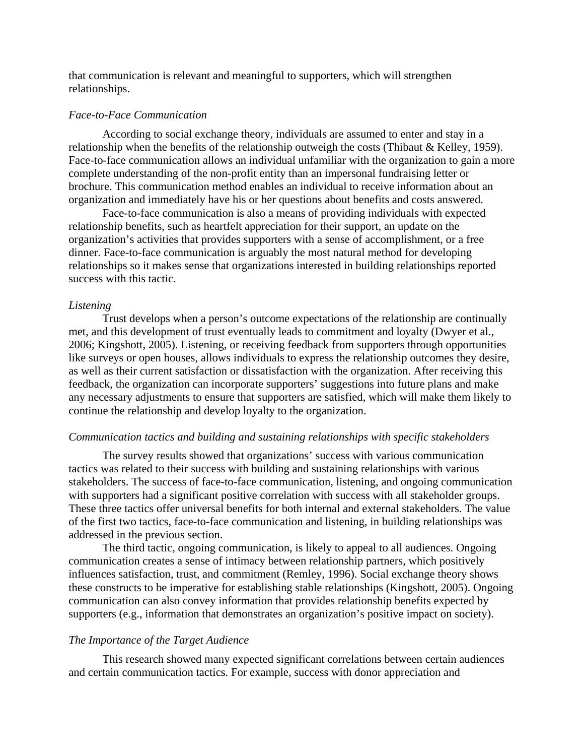that communication is relevant and meaningful to supporters, which will strengthen relationships.

#### *Face-to-Face Communication*

According to social exchange theory, individuals are assumed to enter and stay in a relationship when the benefits of the relationship outweigh the costs (Thibaut & Kelley, 1959). Face-to-face communication allows an individual unfamiliar with the organization to gain a more complete understanding of the non-profit entity than an impersonal fundraising letter or brochure. This communication method enables an individual to receive information about an organization and immediately have his or her questions about benefits and costs answered.

Face-to-face communication is also a means of providing individuals with expected relationship benefits, such as heartfelt appreciation for their support, an update on the organization's activities that provides supporters with a sense of accomplishment, or a free dinner. Face-to-face communication is arguably the most natural method for developing relationships so it makes sense that organizations interested in building relationships reported success with this tactic.

## *Listening*

Trust develops when a person's outcome expectations of the relationship are continually met, and this development of trust eventually leads to commitment and loyalty (Dwyer et al., 2006; Kingshott, 2005). Listening, or receiving feedback from supporters through opportunities like surveys or open houses, allows individuals to express the relationship outcomes they desire, as well as their current satisfaction or dissatisfaction with the organization. After receiving this feedback, the organization can incorporate supporters' suggestions into future plans and make any necessary adjustments to ensure that supporters are satisfied, which will make them likely to continue the relationship and develop loyalty to the organization.

#### *Communication tactics and building and sustaining relationships with specific stakeholders*

The survey results showed that organizations' success with various communication tactics was related to their success with building and sustaining relationships with various stakeholders. The success of face-to-face communication, listening, and ongoing communication with supporters had a significant positive correlation with success with all stakeholder groups. These three tactics offer universal benefits for both internal and external stakeholders. The value of the first two tactics, face-to-face communication and listening, in building relationships was addressed in the previous section.

The third tactic, ongoing communication, is likely to appeal to all audiences. Ongoing communication creates a sense of intimacy between relationship partners, which positively influences satisfaction, trust, and commitment (Remley, 1996). Social exchange theory shows these constructs to be imperative for establishing stable relationships (Kingshott, 2005). Ongoing communication can also convey information that provides relationship benefits expected by supporters (e.g., information that demonstrates an organization's positive impact on society).

## *The Importance of the Target Audience*

This research showed many expected significant correlations between certain audiences and certain communication tactics. For example, success with donor appreciation and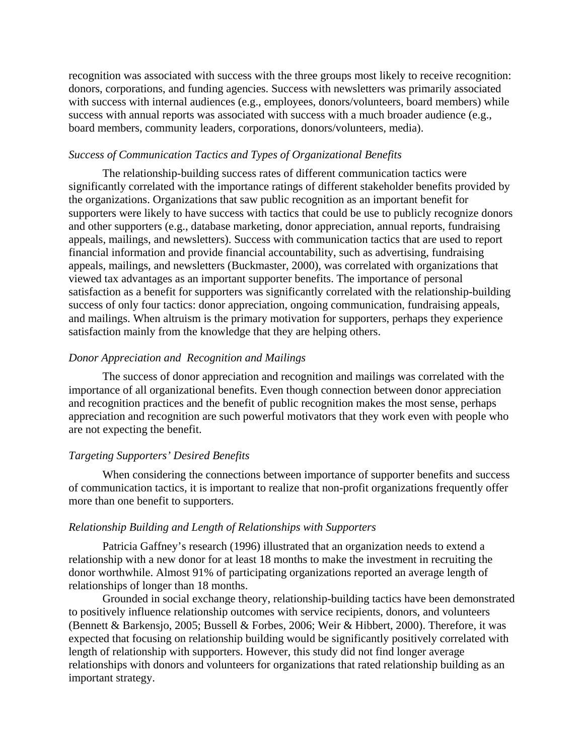recognition was associated with success with the three groups most likely to receive recognition: donors, corporations, and funding agencies. Success with newsletters was primarily associated with success with internal audiences (e.g., employees, donors/volunteers, board members) while success with annual reports was associated with success with a much broader audience (e.g., board members, community leaders, corporations, donors/volunteers, media).

## *Success of Communication Tactics and Types of Organizational Benefits*

The relationship-building success rates of different communication tactics were significantly correlated with the importance ratings of different stakeholder benefits provided by the organizations. Organizations that saw public recognition as an important benefit for supporters were likely to have success with tactics that could be use to publicly recognize donors and other supporters (e.g., database marketing, donor appreciation, annual reports, fundraising appeals, mailings, and newsletters). Success with communication tactics that are used to report financial information and provide financial accountability, such as advertising, fundraising appeals, mailings, and newsletters (Buckmaster, 2000), was correlated with organizations that viewed tax advantages as an important supporter benefits. The importance of personal satisfaction as a benefit for supporters was significantly correlated with the relationship-building success of only four tactics: donor appreciation, ongoing communication, fundraising appeals, and mailings. When altruism is the primary motivation for supporters, perhaps they experience satisfaction mainly from the knowledge that they are helping others.

## *Donor Appreciation and Recognition and Mailings*

The success of donor appreciation and recognition and mailings was correlated with the importance of all organizational benefits. Even though connection between donor appreciation and recognition practices and the benefit of public recognition makes the most sense, perhaps appreciation and recognition are such powerful motivators that they work even with people who are not expecting the benefit.

#### *Targeting Supporters' Desired Benefits*

When considering the connections between importance of supporter benefits and success of communication tactics, it is important to realize that non-profit organizations frequently offer more than one benefit to supporters.

# *Relationship Building and Length of Relationships with Supporters*

Patricia Gaffney's research (1996) illustrated that an organization needs to extend a relationship with a new donor for at least 18 months to make the investment in recruiting the donor worthwhile. Almost 91% of participating organizations reported an average length of relationships of longer than 18 months.

Grounded in social exchange theory, relationship-building tactics have been demonstrated to positively influence relationship outcomes with service recipients, donors, and volunteers (Bennett & Barkensjo, 2005; Bussell & Forbes, 2006; Weir & Hibbert, 2000). Therefore, it was expected that focusing on relationship building would be significantly positively correlated with length of relationship with supporters. However, this study did not find longer average relationships with donors and volunteers for organizations that rated relationship building as an important strategy.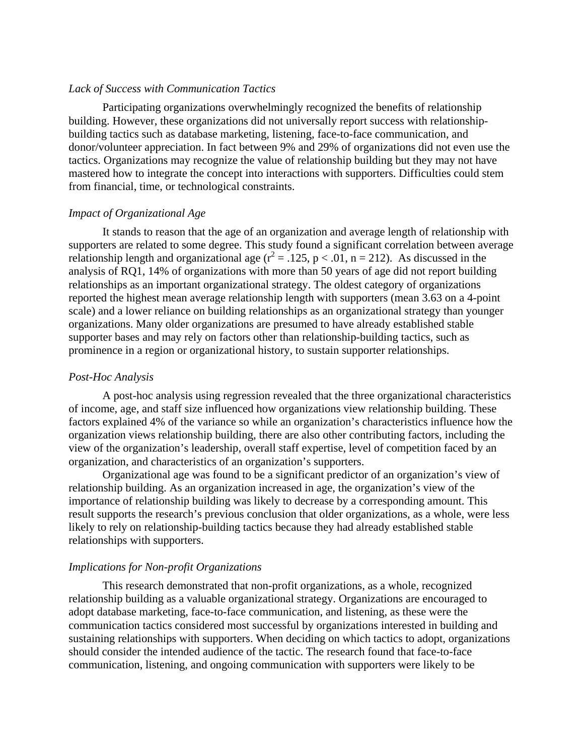# *Lack of Success with Communication Tactics*

Participating organizations overwhelmingly recognized the benefits of relationship building. However, these organizations did not universally report success with relationshipbuilding tactics such as database marketing, listening, face-to-face communication, and donor/volunteer appreciation. In fact between 9% and 29% of organizations did not even use the tactics. Organizations may recognize the value of relationship building but they may not have mastered how to integrate the concept into interactions with supporters. Difficulties could stem from financial, time, or technological constraints.

#### *Impact of Organizational Age*

It stands to reason that the age of an organization and average length of relationship with supporters are related to some degree. This study found a significant correlation between average relationship length and organizational age ( $r^2 = .125$ ,  $p < .01$ ,  $n = 212$ ). As discussed in the analysis of RQ1, 14% of organizations with more than 50 years of age did not report building relationships as an important organizational strategy. The oldest category of organizations reported the highest mean average relationship length with supporters (mean 3.63 on a 4-point scale) and a lower reliance on building relationships as an organizational strategy than younger organizations. Many older organizations are presumed to have already established stable supporter bases and may rely on factors other than relationship-building tactics, such as prominence in a region or organizational history, to sustain supporter relationships.

# *Post-Hoc Analysis*

A post-hoc analysis using regression revealed that the three organizational characteristics of income, age, and staff size influenced how organizations view relationship building. These factors explained 4% of the variance so while an organization's characteristics influence how the organization views relationship building, there are also other contributing factors, including the view of the organization's leadership, overall staff expertise, level of competition faced by an organization, and characteristics of an organization's supporters.

Organizational age was found to be a significant predictor of an organization's view of relationship building. As an organization increased in age, the organization's view of the importance of relationship building was likely to decrease by a corresponding amount. This result supports the research's previous conclusion that older organizations, as a whole, were less likely to rely on relationship-building tactics because they had already established stable relationships with supporters.

#### *Implications for Non-profit Organizations*

This research demonstrated that non-profit organizations, as a whole, recognized relationship building as a valuable organizational strategy. Organizations are encouraged to adopt database marketing, face-to-face communication, and listening, as these were the communication tactics considered most successful by organizations interested in building and sustaining relationships with supporters. When deciding on which tactics to adopt, organizations should consider the intended audience of the tactic. The research found that face-to-face communication, listening, and ongoing communication with supporters were likely to be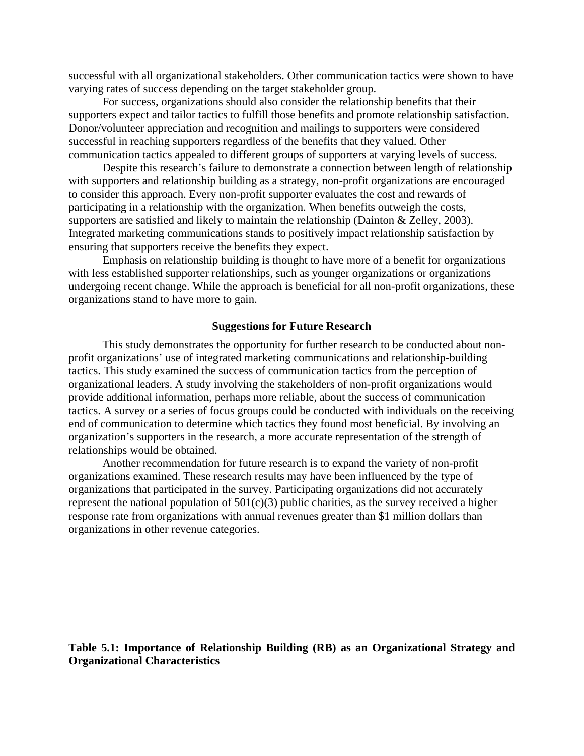successful with all organizational stakeholders. Other communication tactics were shown to have varying rates of success depending on the target stakeholder group.

For success, organizations should also consider the relationship benefits that their supporters expect and tailor tactics to fulfill those benefits and promote relationship satisfaction. Donor/volunteer appreciation and recognition and mailings to supporters were considered successful in reaching supporters regardless of the benefits that they valued. Other communication tactics appealed to different groups of supporters at varying levels of success.

Despite this research's failure to demonstrate a connection between length of relationship with supporters and relationship building as a strategy, non-profit organizations are encouraged to consider this approach. Every non-profit supporter evaluates the cost and rewards of participating in a relationship with the organization. When benefits outweigh the costs, supporters are satisfied and likely to maintain the relationship (Dainton & Zelley, 2003). Integrated marketing communications stands to positively impact relationship satisfaction by ensuring that supporters receive the benefits they expect.

Emphasis on relationship building is thought to have more of a benefit for organizations with less established supporter relationships, such as younger organizations or organizations undergoing recent change. While the approach is beneficial for all non-profit organizations, these organizations stand to have more to gain.

#### **Suggestions for Future Research**

This study demonstrates the opportunity for further research to be conducted about nonprofit organizations' use of integrated marketing communications and relationship-building tactics. This study examined the success of communication tactics from the perception of organizational leaders. A study involving the stakeholders of non-profit organizations would provide additional information, perhaps more reliable, about the success of communication tactics. A survey or a series of focus groups could be conducted with individuals on the receiving end of communication to determine which tactics they found most beneficial. By involving an organization's supporters in the research, a more accurate representation of the strength of relationships would be obtained.

Another recommendation for future research is to expand the variety of non-profit organizations examined. These research results may have been influenced by the type of organizations that participated in the survey. Participating organizations did not accurately represent the national population of  $501(c)(3)$  public charities, as the survey received a higher response rate from organizations with annual revenues greater than \$1 million dollars than organizations in other revenue categories.

# **Table 5.1: Importance of Relationship Building (RB) as an Organizational Strategy and Organizational Characteristics**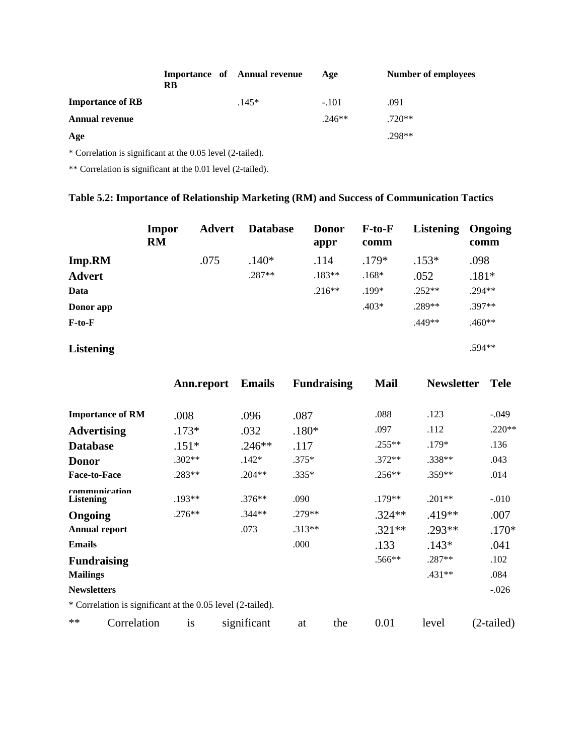|                         | <b>Importance of Annual revenue</b><br>RB |         | Age      | Number of employees |
|-------------------------|-------------------------------------------|---------|----------|---------------------|
| <b>Importance of RB</b> |                                           | $.145*$ | $-.101$  | .091                |
| <b>Annual revenue</b>   |                                           |         | $.246**$ | $.720**$            |
| Age                     |                                           |         |          | $.298**$            |

\* Correlation is significant at the 0.05 level (2-tailed).

\*\* Correlation is significant at the 0.01 level (2-tailed).

# **Table 5.2: Importance of Relationship Marketing (RM) and Success of Communication Tactics**

|                  | Impor<br><b>RM</b> | <b>Advert</b> | <b>Database</b> | <b>Donor</b><br>appr | $F$ -to- $F$<br>comm | <b>Listening</b> | Ongoing<br>comm |
|------------------|--------------------|---------------|-----------------|----------------------|----------------------|------------------|-----------------|
| Imp.RM           |                    | .075          | $.140*$         | .114                 | $.179*$              | $.153*$          | .098            |
| <b>Advert</b>    |                    |               | $.287**$        | $.183**$             | $.168*$              | .052             | $.181*$         |
| Data             |                    |               |                 | $.216**$             | .199*                | $.252**$         | $.294**$        |
| Donor app        |                    |               |                 |                      | $.403*$              | .289**           | .397**          |
| $F$ -to- $F$     |                    |               |                 |                      |                      | .449**           | $.460**$        |
| <b>Listening</b> |                    |               |                 |                      |                      |                  | $.594**$        |

|                      |                         | Ann.report                                                 | <b>Emails</b> | <b>Fundraising</b> | <b>Mail</b> | <b>Newsletter</b> | <b>Tele</b>  |
|----------------------|-------------------------|------------------------------------------------------------|---------------|--------------------|-------------|-------------------|--------------|
|                      | <b>Importance of RM</b> | .008                                                       | .096          | .087               | .088        | .123              | $-.049$      |
| <b>Advertising</b>   |                         | $.173*$                                                    | .032          | $.180*$            | .097        | .112              | $.220**$     |
| <b>Database</b>      |                         | $.151*$                                                    | $.246**$      | .117               | $.255**$    | $.179*$           | .136         |
| <b>Donor</b>         |                         | $.302**$                                                   | $.142*$       | $.375*$            | $.372**$    | $.338**$          | .043         |
| <b>Face-to-Face</b>  |                         | $.283**$                                                   | $.204**$      | $.335*$            | $.256**$    | .359**            | .014         |
| <b>Listening</b>     | communication           | .193**                                                     | $.376**$      | .090               | $.179**$    | $.201**$          | $-.010$      |
| Ongoing              |                         | $.276**$                                                   | $.344**$      | $.279**$           | $.324**$    | .419**            | .007         |
| <b>Annual report</b> |                         |                                                            | .073          | $.313**$           | $.321**$    | $.293**$          | $.170*$      |
| <b>Emails</b>        |                         |                                                            |               | .000               | .133        | $.143*$           | .041         |
|                      | <b>Fundraising</b>      |                                                            |               |                    | $.566**$    | $.287**$          | .102         |
| <b>Mailings</b>      |                         |                                                            |               |                    |             | $.431**$          | .084         |
| <b>Newsletters</b>   |                         |                                                            |               |                    |             |                   | $-.026$      |
|                      |                         | * Correlation is significant at the 0.05 level (2-tailed). |               |                    |             |                   |              |
| $**$                 | Correlation             | is                                                         | significant   | the<br>at          | 0.01        | level             | $(2-tailed)$ |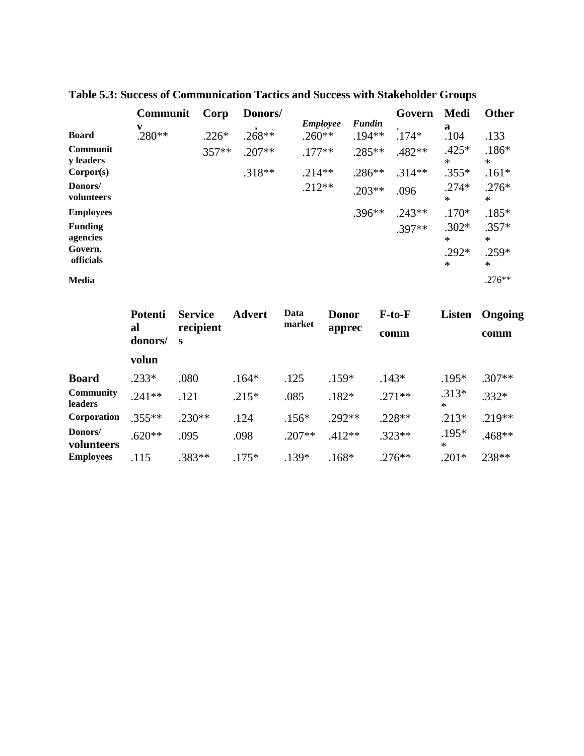|                            | <b>Communit</b> | Corp    | Donors/  |                 |               | Govern   | Medi              | <b>Other</b>      |
|----------------------------|-----------------|---------|----------|-----------------|---------------|----------|-------------------|-------------------|
|                            | V               |         |          | <b>Employee</b> | <b>Fundin</b> |          | Я                 |                   |
| <b>Board</b>               | $.280**$        | $.226*$ | $.268**$ | $.260**$        | $.194**$      | $.174*$  | .104              | .133              |
| Communit<br>y leaders      |                 | $357**$ | $.207**$ | $.177**$        | $.285**$      | .482**   | $.425*$<br>$\ast$ | $.186*$<br>$\ast$ |
| Corpor(s)                  |                 |         | $.318**$ | $.214**$        | $.286**$      | $.314**$ | $.355*$           | $.161*$           |
| Donors/<br>volunteers      |                 |         |          | $.212**$        | $.203**$      | .096     | $.274*$<br>$\ast$ | $.276*$<br>$\ast$ |
| <b>Employees</b>           |                 |         |          |                 | $.396**$      | $.243**$ | $.170*$           | $.185*$           |
| <b>Funding</b><br>agencies |                 |         |          |                 |               | $.397**$ | $.302*$<br>$\ast$ | $.357*$<br>$\ast$ |
| Govern.<br>officials       |                 |         |          |                 |               |          | $.292*$<br>$\ast$ | $.259*$<br>$\ast$ |
| <b>Media</b>               |                 |         |          |                 |               |          |                   | $.276**$          |

# **Table 5.3: Success of Communication Tactics and Success with Stakeholder Groups**

|                             | <b>Service</b><br>Potenti | Advert         | Data<br>market | <b>Donor</b><br>apprec | $F-to-F$ | <b>Listen</b> | Ongoing           |          |
|-----------------------------|---------------------------|----------------|----------------|------------------------|----------|---------------|-------------------|----------|
|                             | al<br>donors/             | recipient<br>S |                |                        |          | comm          |                   | comm     |
|                             | volun                     |                |                |                        |          |               |                   |          |
| <b>Board</b>                | $.233*$                   | .080           | $.164*$        | .125                   | $.159*$  | $.143*$       | $.195*$           | $.307**$ |
| <b>Community</b><br>leaders | $.241**$                  | .121           | $.215*$        | .085                   | $.182*$  | $.271**$      | $.313*$<br>$\ast$ | $.332*$  |
| Corporation                 | $.355***$                 | $.230**$       | .124           | $.156*$                | $.292**$ | $.228**$      | $.213*$           | $.219**$ |
| Donors/<br>volunteers       | $.620**$                  | .095           | .098           | $.207**$               | $.412**$ | $.323**$      | $.195*$<br>$\ast$ | $.468**$ |
| <b>Employees</b>            | .115                      | $.383**$       | $.175*$        | $.139*$                | $.168*$  | $.276**$      | $.201*$           | 238**    |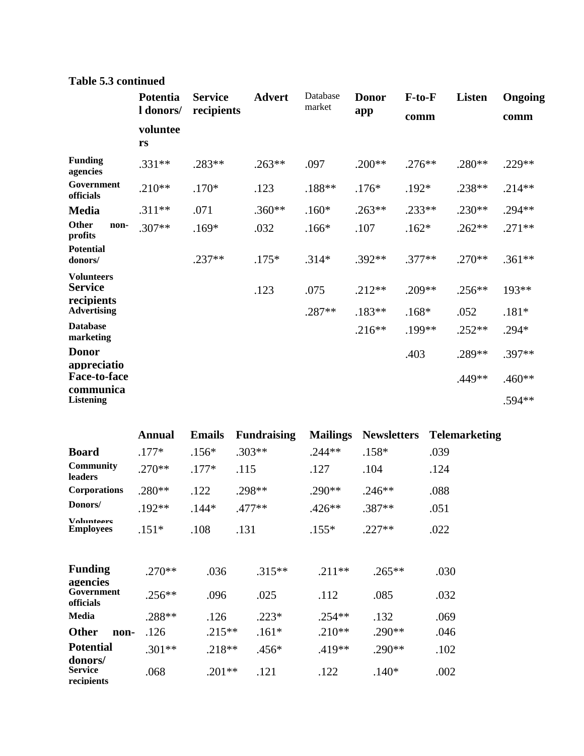# **Table 5.3 continued**

|                                                    | Potentia<br>I donors/ | <b>Service</b><br>recipients | <b>Advert</b> | Database<br>market | <b>Donor</b><br>app  | F-to-F<br>comm    | <b>Listen</b>    | Ongoing<br>comm    |
|----------------------------------------------------|-----------------------|------------------------------|---------------|--------------------|----------------------|-------------------|------------------|--------------------|
|                                                    | voluntee<br>rs        |                              |               |                    |                      |                   |                  |                    |
| <b>Funding</b><br>agencies                         | $.331**$              | $.283**$                     | $.263**$      | .097               | $.200**$             | $.276**$          | $.280**$         | .229**             |
| Government<br>officials                            | $.210**$              | $.170*$                      | .123          | $.188**$           | $.176*$              | $.192*$           | .238**           | $.214**$           |
| <b>Media</b>                                       | $.311**$              | .071                         | $.360**$      | $.160*$            | $.263**$             | $.233**$          | $.230**$         | $.294**$           |
| Other<br>non-<br>profits                           | $.307**$              | $.169*$                      | .032          | $.166*$            | .107                 | $.162*$           | $.262**$         | $.271**$           |
| <b>Potential</b><br>donors/                        |                       | $.237**$                     | $.175*$       | $.314*$            | $.392**$             | $.377**$          | $.270**$         | $.361**$           |
| <b>Volunteers</b><br><b>Service</b><br>recipients  |                       |                              | .123          | .075               | $.212**$             | $.209**$          | $.256**$         | 193**              |
| <b>Advertising</b><br><b>Database</b><br>marketing |                       |                              |               | $.287**$           | $.183**$<br>$.216**$ | $.168*$<br>.199** | .052<br>$.252**$ | $.181*$<br>$.294*$ |
| <b>Donor</b><br>appreciatio                        |                       |                              |               |                    |                      | .403              | .289**           | $.397**$           |
| Face-to-face<br>communica                          |                       |                              |               |                    |                      |                   | .449**           | $.460**$           |
| <b>Listening</b>                                   |                       |                              |               |                    |                      |                   |                  | .594**             |

|                                         | <b>Annual</b> | <b>Emails</b> | <b>Fundraising</b> | <b>Mailings</b> | <b>Newsletters</b> | <b>Telemarketing</b> |
|-----------------------------------------|---------------|---------------|--------------------|-----------------|--------------------|----------------------|
| <b>Board</b>                            | $.177*$       | $.156*$       | $.303**$           | $.244**$        | $.158*$            | .039                 |
| <b>Community</b><br>leaders             | $.270**$      | $.177*$       | .115               | .127            | .104               | .124                 |
| <b>Corporations</b>                     | $.280**$      | .122          | .298**             | $.290**$        | $.246**$           | .088                 |
| Donors/                                 | $.192**$      | $.144*$       | .477**             | $.426**$        | $.387**$           | .051                 |
| <b>Volunteers</b><br><b>Employees</b>   | $.151*$       | .108          | .131               | $.155*$         | $.227**$           | .022                 |
| <b>Funding</b>                          | $.270**$      | .036          | $.315**$           | $.211**$        | $.265***$          | .030                 |
| agencies<br>Government<br>officials     | $.256**$      | .096          | .025               | .112            | .085               | .032                 |
| <b>Media</b>                            | .288**        | .126          | $.223*$            | $.254**$        | .132               | .069                 |
| <b>Other</b><br>non-                    | .126          | $.215**$      | $.161*$            | $.210**$        | $.290**$           | .046                 |
| <b>Potential</b>                        | $.301**$      | $.218**$      | .456*              | .419**          | $.290**$           | .102                 |
| donors/<br><b>Service</b><br>recipients | .068          | $.201**$      | .121               | .122            | $.140*$            | .002                 |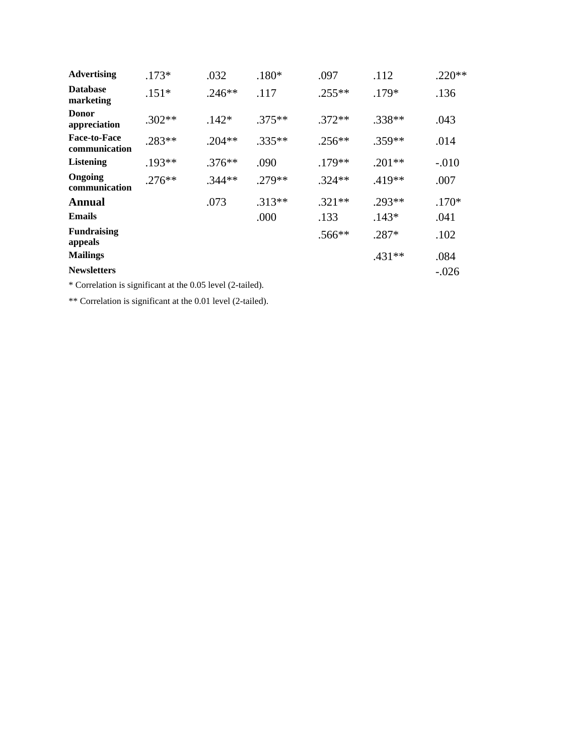| <b>Advertising</b>                   | $.173*$  | .032     | $.180*$  | .097     | .112     | $.220**$ |
|--------------------------------------|----------|----------|----------|----------|----------|----------|
| <b>Database</b><br>marketing         | $.151*$  | $.246**$ | .117     | $.255**$ | $.179*$  | .136     |
| <b>Donor</b><br>appreciation         | $.302**$ | $.142*$  | $.375**$ | $.372**$ | $.338**$ | .043     |
| <b>Face-to-Face</b><br>communication | $.283**$ | $.204**$ | $.335**$ | $.256**$ | $.359**$ | .014     |
| <b>Listening</b>                     | $.193**$ | $.376**$ | .090     | $.179**$ | $.201**$ | $-.010$  |
| Ongoing<br>communication             | $.276**$ | $.344**$ | $.279**$ | $.324**$ | $.419**$ | .007     |
| <b>Annual</b>                        |          | .073     | $.313**$ | $.321**$ | $.293**$ | $.170*$  |
| <b>Emails</b>                        |          |          | .000     | .133     | $.143*$  | .041     |
| <b>Fundraising</b><br>appeals        |          |          |          | $.566**$ | $.287*$  | .102     |
| <b>Mailings</b>                      |          |          |          |          | $.431**$ | .084     |
| <b>Newsletters</b>                   |          |          |          |          |          | $-.026$  |
|                                      |          |          |          |          |          |          |

\* Correlation is significant at the 0.05 level (2-tailed).

\*\* Correlation is significant at the 0.01 level (2-tailed).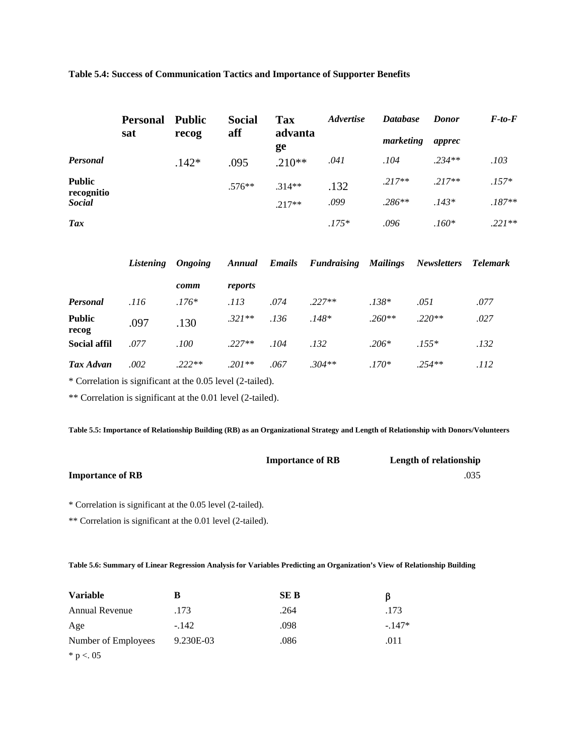#### **Table 5.4: Success of Communication Tactics and Importance of Supporter Benefits**

|                                              | <b>Personal</b> | Public  | <b>Social</b> | <b>Tax</b>           | <i><b>Advertise</b></i> | <b>Database</b>      | <b>Donor</b>        | $F$ -to- $F$        |
|----------------------------------------------|-----------------|---------|---------------|----------------------|-------------------------|----------------------|---------------------|---------------------|
|                                              | sat             | recog   | aff           | advanta<br>ge        |                         | marketing            | apprec              |                     |
| <b>Personal</b>                              |                 | $.142*$ | .095          | $.210**$             | .041                    | .104                 | $.234**$            | .103                |
| <b>Public</b><br>recognitio<br><b>Social</b> |                 |         | $.576**$      | $.314**$<br>$.217**$ | .132<br>.099            | $.217**$<br>$.286**$ | $.217**$<br>$.143*$ | $.157*$<br>$.187**$ |
| Tax                                          |                 |         |               |                      | $.175*$                 | .096                 | $.160*$             | $.221**$            |

|                        | Listening | <i><b>Ongoing</b></i> |          |      | <b>Annual Emails Fundraising Mailings</b> |          | <b>Newsletters</b> | Telemark |
|------------------------|-----------|-----------------------|----------|------|-------------------------------------------|----------|--------------------|----------|
|                        |           | comm                  | reports  |      |                                           |          |                    |          |
| <b>Personal</b>        | .116      | $.176*$               | .113     | .074 | $.227**$                                  | $.138*$  | .051               | .077     |
| <b>Public</b><br>recog | .097      | .130                  | $.321**$ | .136 | $.148*$                                   | $.260**$ | $.220**$           | .027     |
| <b>Social affil</b>    | .077      | .100                  | $.227**$ | .104 | .132                                      | $.206*$  | $.155*$            | .132     |
| Tax Advan              | .002      | $.222**$              | $.201**$ | .067 | $.304**$                                  | $.170*$  | $.254**$           | .112     |

\* Correlation is significant at the 0.05 level (2-tailed).

\*\* Correlation is significant at the 0.01 level (2-tailed).

**Table 5.5: Importance of Relationship Building (RB) as an Organizational Strategy and Length of Relationship with Donors/Volunteers** 

# **Importance of RB** .035

\* Correlation is significant at the 0.05 level (2-tailed).

\*\* Correlation is significant at the 0.01 level (2-tailed).

#### **Table 5.6: Summary of Linear Regression Analysis for Variables Predicting an Organization's View of Relationship Building**

| <b>Variable</b>       | B         | SE B | B       |
|-----------------------|-----------|------|---------|
| <b>Annual Revenue</b> | .173      | .264 | .173    |
| Age                   | $-142$    | .098 | $-147*$ |
| Number of Employees   | 9.230E-03 | .086 | .011    |
| * p < 0.05            |           |      |         |